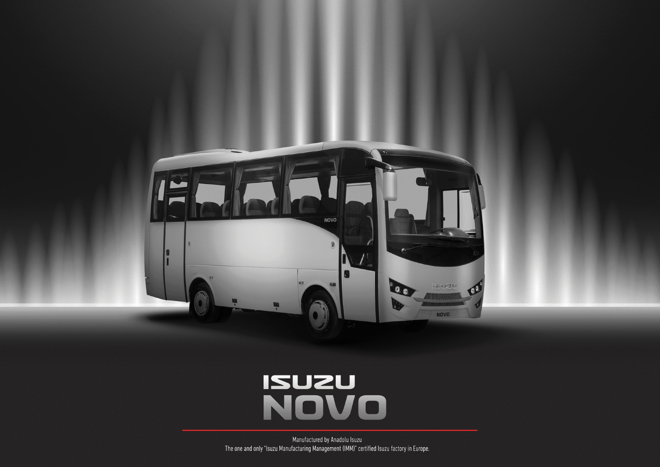

## **ISUZU<br>NOVO**

Manufactured by Anadolu Isuzu The one and only "Isuzu Manufacturing Management (IMM)" certified Isuzu factory in Europe.